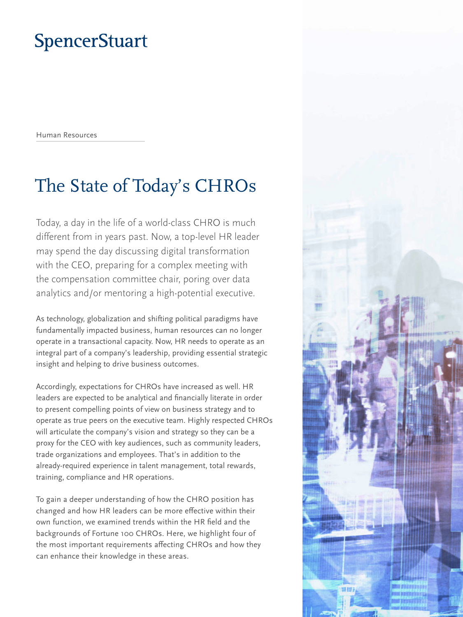# **SpencerStuart**

Human Resources

# The State of Today's CHROs

Today, a day in the life of a world-class CHRO is much different from in years past. Now, a top-level HR leader may spend the day discussing digital transformation with the CEO, preparing for a complex meeting with the compensation committee chair, poring over data analytics and/or mentoring a high-potential executive.

As technology, globalization and shifting political paradigms have fundamentally impacted business, human resources can no longer operate in a transactional capacity. Now, HR needs to operate as an integral part of a company's leadership, providing essential strategic insight and helping to drive business outcomes.

Accordingly, expectations for CHROs have increased as well. HR leaders are expected to be analytical and financially literate in order to present compelling points of view on business strategy and to operate as true peers on the executive team. Highly respected CHROs will articulate the company's vision and strategy so they can be a proxy for the CEO with key audiences, such as community leaders, trade organizations and employees. That's in addition to the already-required experience in talent management, total rewards, training, compliance and HR operations.

To gain a deeper understanding of how the CHRO position has changed and how HR leaders can be more effective within their own function, we examined trends within the HR field and the backgrounds of Fortune 100 CHROs. Here, we highlight four of the most important requirements affecting CHROs and how they can enhance their knowledge in these areas.

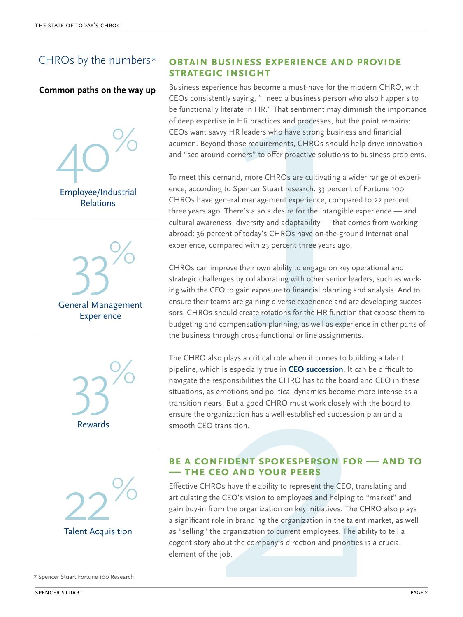## CHROs by the numbers\*

#### **Common paths on the way up**

40% Employee/Industrial Relations







rience has become a must-have for the moderntly saying, "I need a business person who als<br>literate in HR." That sentiment may diminish<br>ise in HR practices and processes, but the poi<br>wy HR leaders who have strong business a Business experience has become a must-have for the modern CHRO, with CEOs consistently saying, "I need a business person who also happens to be functionally literate in HR." That sentiment may diminish the importance of deep expertise in HR practices and processes, but the point remains: CEOs want savvy HR leaders who have strong business and financial acumen. Beyond those requirements, CHROs should help drive innovation and "see around corners" to offer proactive solutions to business problems.

To meet this demand, more CHROs are cultivating a wider range of experience, according to Spencer Stuart research: 33 percent of Fortune 100 CHROs have general management experience, compared to 22 percent three years ago. There's also a desire for the intangible experience — and cultural awareness, diversity and adaptability — that comes from working abroad: 36 percent of today's CHROs have on-the-ground international experience, compared with 23 percent three years ago.

CHROs can improve their own ability to engage on key operational and strategic challenges by collaborating with other senior leaders, such as working with the CFO to gain exposure to financial planning and analysis. And to ensure their teams are gaining diverse experience and are developing successors, CHROs should create rotations for the HR function that expose them to budgeting and compensation planning, as well as experience in other parts of the business through cross-functional or line assignments.

The CHRO also plays a critical role when it comes to building a talent pipeline, which is especially true in **CEO succession**. It can be difficult to navigate the responsibilities the CHRO has to the board and CEO in these situations, as emotions and political dynamics become more intense as a transition nears. But a good CHRO must work closely with the board to ensure the organization has a well-established succession plan and a smooth CEO transition.

#### **Be a confident spokesperson for — and to — the CEO and your peers**

through cross-functional or line assignments.<br>Iso plays a critical role when it comes to building<br>ch is especially true in **CEO succession**. It can be<br>responsibilities the CHRO has to the board and (semotions and political Effective CHROs have the ability to represent the CEO, translating and articulating the CEO's vision to employees and helping to "market" and gain buy-in from the organization on key initiatives. The CHRO also plays a significant role in branding the organization in the talent market, as well as "selling" the organization to current employees. The ability to tell a cogent story about the company's direction and priorities is a crucial element of the job.

\* Spencer Stuart Fortune 100 Research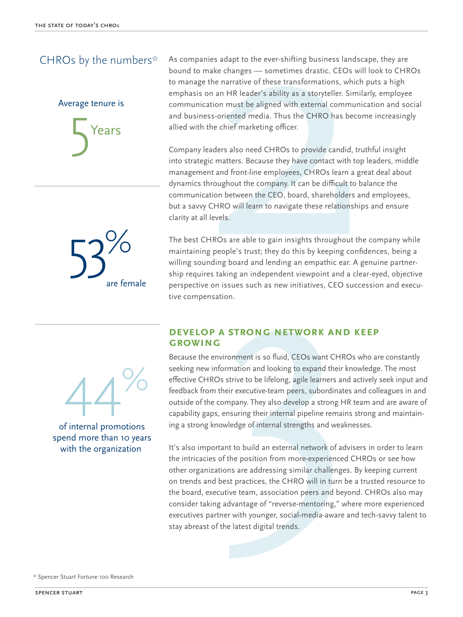### CHROs by the numbers\*



53% are female As companies adapt to the ever-shifting business landscape, they are bound to make changes — sometimes drastic. CEOs will look to CHROs to manage the narrative of these transformations, which puts a high emphasis on an HR leader's ability as a storyteller. Similarly, employee communication must be aligned with external communication and social and business-oriented media. Thus the CHRO has become increasingly allied with the chief marketing officer.

nies adapt to the ever-shifting business landscamake changes — sometimes drastic. CEOs will<br>the narrative of these transformations, which pon an HR leader's ability as a storyteller. Similar<br>ation must be aligned with exte Company leaders also need CHROs to provide candid, truthful insight into strategic matters. Because they have contact with top leaders, middle management and front-line employees, CHROs learn a great deal about dynamics throughout the company. It can be difficult to balance the communication between the CEO, board, shareholders and employees, but a savvy CHRO will learn to navigate these relationships and ensure clarity at all levels.

The best CHROs are able to gain insights throughout the company while maintaining people's trust; they do this by keeping confidences, being a willing sounding board and lending an empathic ear. A genuine partnership requires taking an independent viewpoint and a clear-eyed, objective perspective on issues such as new initiatives, CEO succession and executive compensation.

#### **Develop a strong network and keep growing**

44%

of internal promotions spend more than 10 years with the organization

Because the environment is so fluid, CEOs want CHROs who are constantly seeking new information and looking to expand their knowledge. The most effective CHROs strive to be lifelong, agile learners and actively seek input and feedback from their executive-team peers, subordinates and colleagues in and outside of the company. They also develop a strong HR team and are aware of capability gaps, ensuring their internal pipeline remains strong and maintaining a strong knowledge of internal strengths and weaknesses.

Do are able to gain insights throughout<br>cople's trust; they do this by keeping co<br>g board and lending an empathic ear.<br>aking an independent viewpoint and a issues such as new initiatives, CEO su<br>tion.<br>A **STRONG NETWORK AND** It's also important to build an external network of advisers in order to learn the intricacies of the position from more-experienced CHROs or see how other organizations are addressing similar challenges. By keeping current on trends and best practices, the CHRO will in turn be a trusted resource to the board, executive team, association peers and beyond. CHROs also may consider taking advantage of "reverse-mentoring," where more experienced executives partner with younger, social-media-aware and tech-savvy talent to stay abreast of the latest digital trends.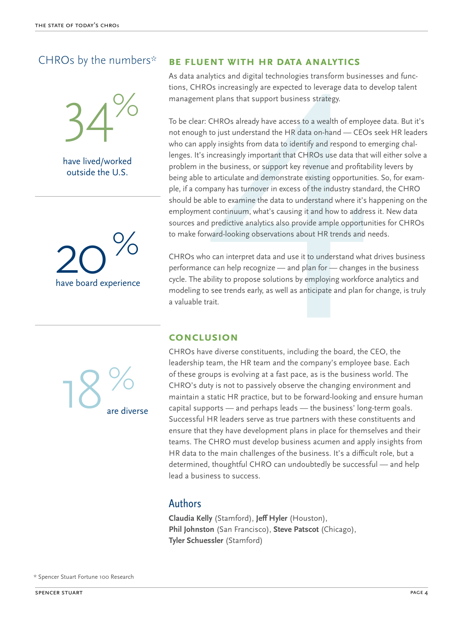### CHROs by the numbers\*



have lived/worked outside the U.S.



#### **Be fluent with HR data analytics**

As data analytics and digital technologies transform businesses and functions, CHROs increasingly are expected to leverage data to develop talent management plans that support business strategy.

**ENT WITH HR DATA ANALYTICS**<br>
bytics and digital technologies transform businesses<br>
Ds increasingly are expected to leverage data to dev<br>
the plans that support business strategy.<br>
CHROs already have access to a wealth of To be clear: CHROs already have access to a wealth of employee data. But it's not enough to just understand the HR data on-hand — CEOs seek HR leaders who can apply insights from data to identify and respond to emerging challenges. It's increasingly important that CHROs use data that will either solve a problem in the business, or support key revenue and profitability levers by being able to articulate and demonstrate existing opportunities. So, for example, if a company has turnover in excess of the industry standard, the CHRO should be able to examine the data to understand where it's happening on the employment continuum, what's causing it and how to address it. New data sources and predictive analytics also provide ample opportunities for CHROs to make forward-looking observations about HR trends and needs.

CHROs who can interpret data and use it to understand what drives business performance can help recognize — and plan for — changes in the business cycle. The ability to propose solutions by employing workforce analytics and modeling to see trends early, as well as anticipate and plan for change, is truly a valuable trait.

#### **Conclusion**

 $18\%$ are diverse CHROs have diverse constituents, including the board, the CEO, the leadership team, the HR team and the company's employee base. Each of these groups is evolving at a fast pace, as is the business world. The CHRO's duty is not to passively observe the changing environment and maintain a static HR practice, but to be forward-looking and ensure human capital supports — and perhaps leads — the business' long-term goals. Successful HR leaders serve as true partners with these constituents and ensure that they have development plans in place for themselves and their teams. The CHRO must develop business acumen and apply insights from HR data to the main challenges of the business. It's a difficult role, but a determined, thoughtful CHRO can undoubtedly be successful — and help lead a business to success.

### Authors

**Claudia Kelly** (Stamford), **Jeff Hyler** (Houston), **Phil Johnston** (San Francisco), **Steve Patscot** (Chicago), **Tyler Schuessler** (Stamford)